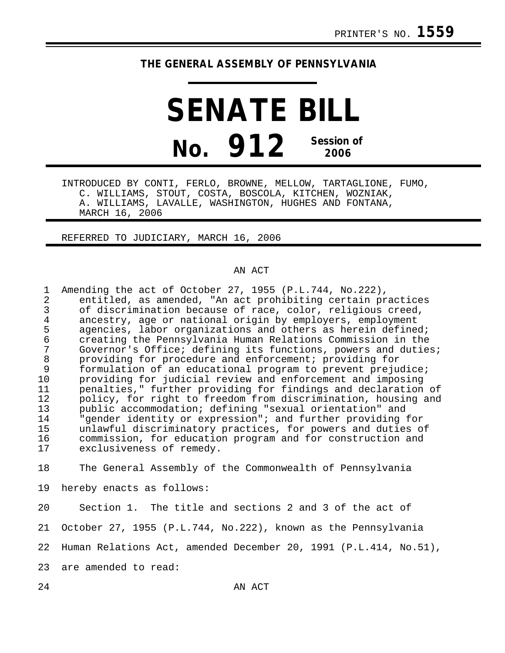## **THE GENERAL ASSEMBLY OF PENNSYLVANIA**

**SENATE BILL No. 912 Session of 2006**

INTRODUCED BY CONTI, FERLO, BROWNE, MELLOW, TARTAGLIONE, FUMO, C. WILLIAMS, STOUT, COSTA, BOSCOLA, KITCHEN, WOZNIAK, A. WILLIAMS, LAVALLE, WASHINGTON, HUGHES AND FONTANA, MARCH 16, 2006

REFERRED TO JUDICIARY, MARCH 16, 2006

## AN ACT

| $\mathbf{1}$<br>2<br>$\mathfrak{Z}$<br>$\overline{4}$<br>5<br>$\epsilon$<br>7<br>$\, 8$<br>9<br>10<br>11<br>12<br>13<br>14<br>15<br>16<br>17 | Amending the act of October 27, 1955 (P.L.744, No.222),<br>entitled, as amended, "An act prohibiting certain practices<br>of discrimination because of race, color, religious creed,<br>ancestry, age or national origin by employers, employment<br>agencies, labor organizations and others as herein defined;<br>creating the Pennsylvania Human Relations Commission in the<br>Governor's Office; defining its functions, powers and duties;<br>providing for procedure and enforcement; providing for<br>formulation of an educational program to prevent prejudice;<br>providing for judicial review and enforcement and imposing<br>penalties," further providing for findings and declaration of<br>policy, for right to freedom from discrimination, housing and<br>public accommodation; defining "sexual orientation" and<br>"gender identity or expression"; and further providing for<br>unlawful discriminatory practices, for powers and duties of<br>commission, for education program and for construction and<br>exclusiveness of remedy. |
|----------------------------------------------------------------------------------------------------------------------------------------------|-------------------------------------------------------------------------------------------------------------------------------------------------------------------------------------------------------------------------------------------------------------------------------------------------------------------------------------------------------------------------------------------------------------------------------------------------------------------------------------------------------------------------------------------------------------------------------------------------------------------------------------------------------------------------------------------------------------------------------------------------------------------------------------------------------------------------------------------------------------------------------------------------------------------------------------------------------------------------------------------------------------------------------------------------------------|
| 18                                                                                                                                           | The General Assembly of the Commonwealth of Pennsylvania                                                                                                                                                                                                                                                                                                                                                                                                                                                                                                                                                                                                                                                                                                                                                                                                                                                                                                                                                                                                    |
| 19                                                                                                                                           | hereby enacts as follows:                                                                                                                                                                                                                                                                                                                                                                                                                                                                                                                                                                                                                                                                                                                                                                                                                                                                                                                                                                                                                                   |
| 20                                                                                                                                           | Section 1. The title and sections 2 and 3 of the act of                                                                                                                                                                                                                                                                                                                                                                                                                                                                                                                                                                                                                                                                                                                                                                                                                                                                                                                                                                                                     |
| 21                                                                                                                                           | October 27, 1955 (P.L.744, No.222), known as the Pennsylvania                                                                                                                                                                                                                                                                                                                                                                                                                                                                                                                                                                                                                                                                                                                                                                                                                                                                                                                                                                                               |

22 Human Relations Act, amended December 20, 1991 (P.L.414, No.51),

23 are amended to read: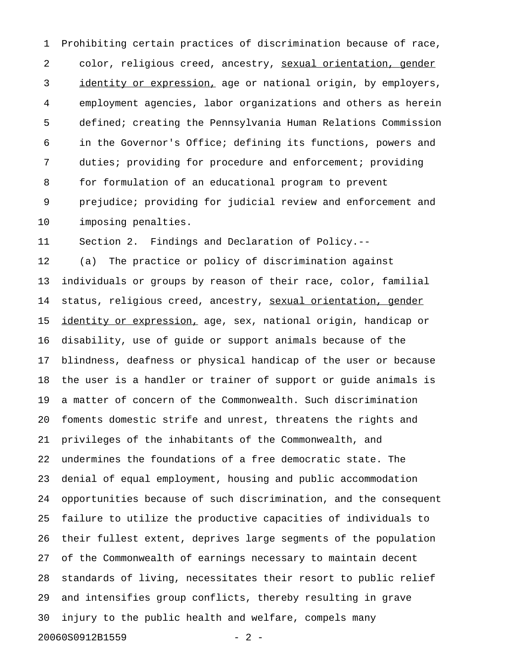1 Prohibiting certain practices of discrimination because of race, 2 color, religious creed, ancestry, sexual orientation, gender 3 identity or expression, age or national origin, by employers, 4 employment agencies, labor organizations and others as herein 5 defined; creating the Pennsylvania Human Relations Commission 6 in the Governor's Office; defining its functions, powers and 7 duties; providing for procedure and enforcement; providing 8 for formulation of an educational program to prevent 9 prejudice; providing for judicial review and enforcement and 10 imposing penalties.

11 Section 2. Findings and Declaration of Policy.--

12 (a) The practice or policy of discrimination against 13 individuals or groups by reason of their race, color, familial 14 status, religious creed, ancestry, sexual orientation, gender 15 identity or expression, age, sex, national origin, handicap or 16 disability, use of guide or support animals because of the 17 blindness, deafness or physical handicap of the user or because 18 the user is a handler or trainer of support or guide animals is 19 a matter of concern of the Commonwealth. Such discrimination 20 foments domestic strife and unrest, threatens the rights and 21 privileges of the inhabitants of the Commonwealth, and 22 undermines the foundations of a free democratic state. The 23 denial of equal employment, housing and public accommodation 24 opportunities because of such discrimination, and the consequent 25 failure to utilize the productive capacities of individuals to 26 their fullest extent, deprives large segments of the population 27 of the Commonwealth of earnings necessary to maintain decent 28 standards of living, necessitates their resort to public relief 29 and intensifies group conflicts, thereby resulting in grave 30 injury to the public health and welfare, compels many 20060S0912B1559 - 2 -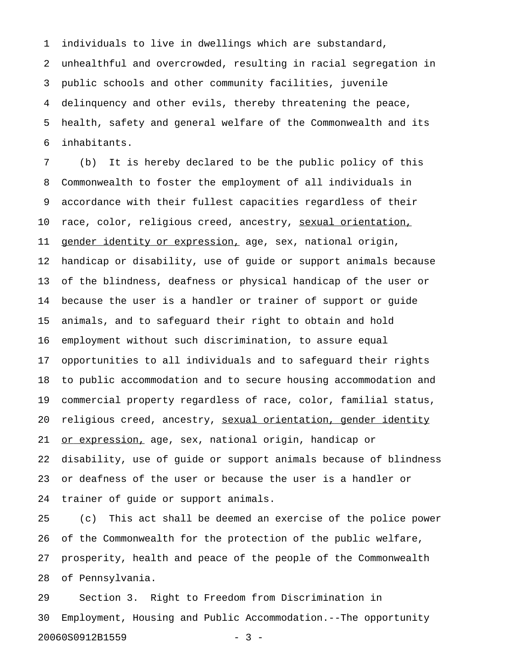1 individuals to live in dwellings which are substandard,

2 unhealthful and overcrowded, resulting in racial segregation in 3 public schools and other community facilities, juvenile 4 delinquency and other evils, thereby threatening the peace, 5 health, safety and general welfare of the Commonwealth and its 6 inhabitants.

7 (b) It is hereby declared to be the public policy of this 8 Commonwealth to foster the employment of all individuals in 9 accordance with their fullest capacities regardless of their 10 race, color, religious creed, ancestry, sexual orientation, 11 gender identity or expression, age, sex, national origin, 12 handicap or disability, use of guide or support animals because 13 of the blindness, deafness or physical handicap of the user or 14 because the user is a handler or trainer of support or guide 15 animals, and to safeguard their right to obtain and hold 16 employment without such discrimination, to assure equal 17 opportunities to all individuals and to safeguard their rights 18 to public accommodation and to secure housing accommodation and 19 commercial property regardless of race, color, familial status, 20 religious creed, ancestry, sexual orientation, gender identity 21 <u>or expression,</u> age, sex, national origin, handicap or 22 disability, use of guide or support animals because of blindness 23 or deafness of the user or because the user is a handler or 24 trainer of guide or support animals.

25 (c) This act shall be deemed an exercise of the police power 26 of the Commonwealth for the protection of the public welfare, 27 prosperity, health and peace of the people of the Commonwealth 28 of Pennsylvania.

29 Section 3. Right to Freedom from Discrimination in 30 Employment, Housing and Public Accommodation.--The opportunity 20060S0912B1559 - 3 -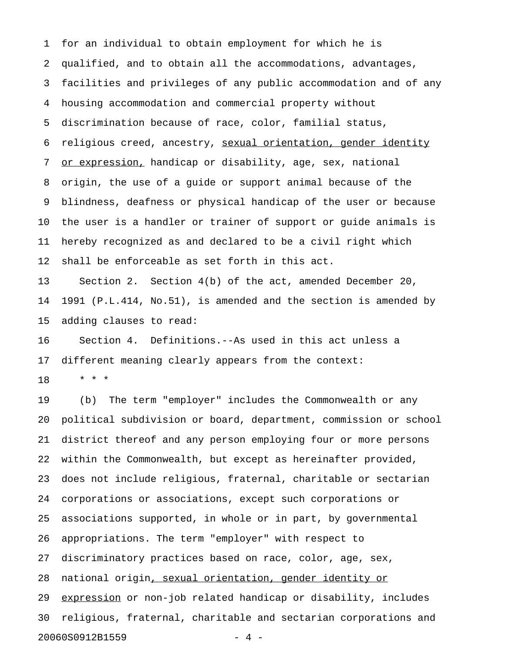1 for an individual to obtain employment for which he is 2 qualified, and to obtain all the accommodations, advantages, 3 facilities and privileges of any public accommodation and of any 4 housing accommodation and commercial property without 5 discrimination because of race, color, familial status, 6 religious creed, ancestry, sexual orientation, gender identity 7 or expression, handicap or disability, age, sex, national 8 origin, the use of a guide or support animal because of the 9 blindness, deafness or physical handicap of the user or because 10 the user is a handler or trainer of support or guide animals is 11 hereby recognized as and declared to be a civil right which 12 shall be enforceable as set forth in this act.

13 Section 2. Section 4(b) of the act, amended December 20, 14 1991 (P.L.414, No.51), is amended and the section is amended by 15 adding clauses to read:

16 Section 4. Definitions.--As used in this act unless a 17 different meaning clearly appears from the context:

18 \* \* \*

19 (b) The term "employer" includes the Commonwealth or any 20 political subdivision or board, department, commission or school 21 district thereof and any person employing four or more persons 22 within the Commonwealth, but except as hereinafter provided, 23 does not include religious, fraternal, charitable or sectarian 24 corporations or associations, except such corporations or 25 associations supported, in whole or in part, by governmental 26 appropriations. The term "employer" with respect to 27 discriminatory practices based on race, color, age, sex, 28 national origin, sexual orientation, gender identity or 29 expression or non-job related handicap or disability, includes 30 religious, fraternal, charitable and sectarian corporations and 20060S0912B1559 - 4 -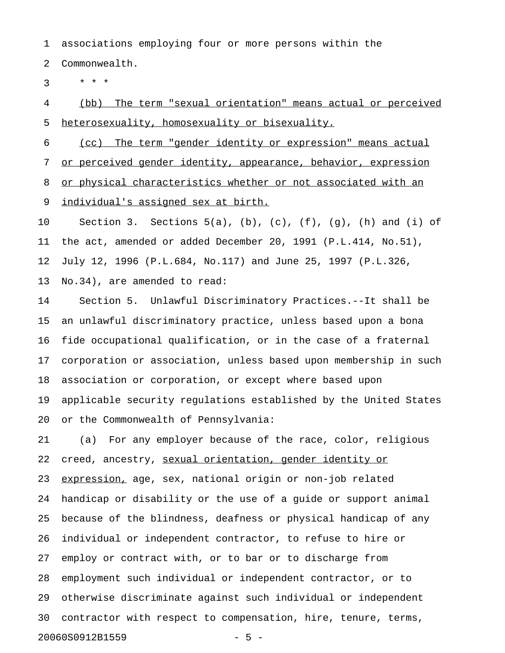1 associations employing four or more persons within the

2 Commonwealth.

 $3 * * * *$ 

4 (bb) The term "sexual orientation" means actual or perceived 5 heterosexuality, homosexuality or bisexuality.

6 (cc) The term "gender identity or expression" means actual 7 or perceived gender identity, appearance, behavior, expression 8 or physical characteristics whether or not associated with an 9 individual's assigned sex at birth.

10 Section 3. Sections 5(a), (b), (c), (f), (g), (h) and (i) of 11 the act, amended or added December 20, 1991 (P.L.414, No.51), 12 July 12, 1996 (P.L.684, No.117) and June 25, 1997 (P.L.326, 13 No.34), are amended to read:

14 Section 5. Unlawful Discriminatory Practices.--It shall be 15 an unlawful discriminatory practice, unless based upon a bona 16 fide occupational qualification, or in the case of a fraternal 17 corporation or association, unless based upon membership in such 18 association or corporation, or except where based upon 19 applicable security regulations established by the United States 20 or the Commonwealth of Pennsylvania:

21 (a) For any employer because of the race, color, religious 22 creed, ancestry, sexual orientation, gender identity or 23 expression, age, sex, national origin or non-job related 24 handicap or disability or the use of a guide or support animal 25 because of the blindness, deafness or physical handicap of any 26 individual or independent contractor, to refuse to hire or 27 employ or contract with, or to bar or to discharge from 28 employment such individual or independent contractor, or to 29 otherwise discriminate against such individual or independent 30 contractor with respect to compensation, hire, tenure, terms, 20060S0912B1559 - 5 -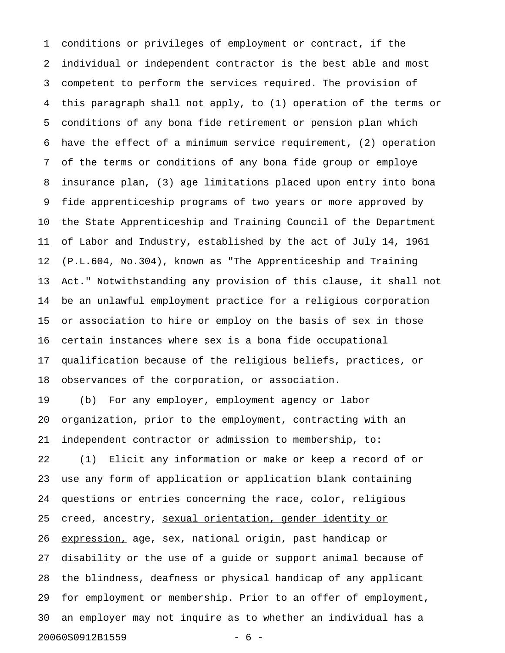1 conditions or privileges of employment or contract, if the 2 individual or independent contractor is the best able and most 3 competent to perform the services required. The provision of 4 this paragraph shall not apply, to (1) operation of the terms or 5 conditions of any bona fide retirement or pension plan which 6 have the effect of a minimum service requirement, (2) operation 7 of the terms or conditions of any bona fide group or employe 8 insurance plan, (3) age limitations placed upon entry into bona 9 fide apprenticeship programs of two years or more approved by 10 the State Apprenticeship and Training Council of the Department 11 of Labor and Industry, established by the act of July 14, 1961 12 (P.L.604, No.304), known as "The Apprenticeship and Training 13 Act." Notwithstanding any provision of this clause, it shall not 14 be an unlawful employment practice for a religious corporation 15 or association to hire or employ on the basis of sex in those 16 certain instances where sex is a bona fide occupational 17 qualification because of the religious beliefs, practices, or 18 observances of the corporation, or association. 19 (b) For any employer, employment agency or labor 20 organization, prior to the employment, contracting with an 21 independent contractor or admission to membership, to: 22 (1) Elicit any information or make or keep a record of or 23 use any form of application or application blank containing 24 questions or entries concerning the race, color, religious 25 creed, ancestry, sexual orientation, gender identity or 26 expression, age, sex, national origin, past handicap or 27 disability or the use of a guide or support animal because of 28 the blindness, deafness or physical handicap of any applicant 29 for employment or membership. Prior to an offer of employment, 30 an employer may not inquire as to whether an individual has a 20060S0912B1559 - 6 -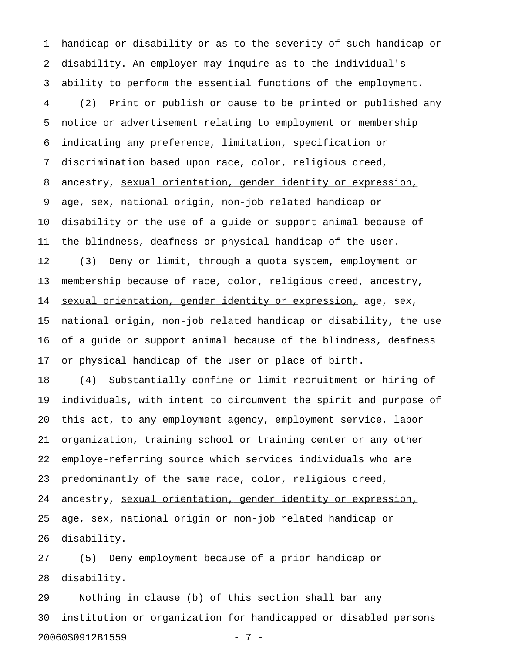1 handicap or disability or as to the severity of such handicap or 2 disability. An employer may inquire as to the individual's 3 ability to perform the essential functions of the employment. 4 (2) Print or publish or cause to be printed or published any 5 notice or advertisement relating to employment or membership 6 indicating any preference, limitation, specification or 7 discrimination based upon race, color, religious creed, 8 ancestry, sexual orientation, gender identity or expression, 9 age, sex, national origin, non-job related handicap or 10 disability or the use of a guide or support animal because of 11 the blindness, deafness or physical handicap of the user. 12 (3) Deny or limit, through a quota system, employment or 13 membership because of race, color, religious creed, ancestry, 14 sexual orientation, gender identity or expression, age, sex, 15 national origin, non-job related handicap or disability, the use 16 of a guide or support animal because of the blindness, deafness 17 or physical handicap of the user or place of birth. 18 (4) Substantially confine or limit recruitment or hiring of

19 individuals, with intent to circumvent the spirit and purpose of 20 this act, to any employment agency, employment service, labor 21 organization, training school or training center or any other 22 employe-referring source which services individuals who are 23 predominantly of the same race, color, religious creed, 24 ancestry, sexual orientation, gender identity or expression, 25 age, sex, national origin or non-job related handicap or 26 disability.

27 (5) Deny employment because of a prior handicap or 28 disability.

29 Nothing in clause (b) of this section shall bar any 30 institution or organization for handicapped or disabled persons 20060S0912B1559 - 7 -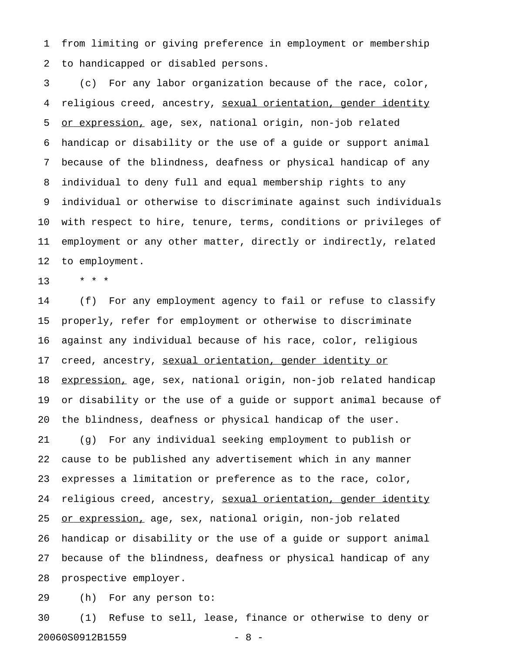1 from limiting or giving preference in employment or membership 2 to handicapped or disabled persons.

3 (c) For any labor organization because of the race, color, 4 religious creed, ancestry, sexual orientation, gender identity 5 or expression, age, sex, national origin, non-job related 6 handicap or disability or the use of a guide or support animal 7 because of the blindness, deafness or physical handicap of any 8 individual to deny full and equal membership rights to any 9 individual or otherwise to discriminate against such individuals 10 with respect to hire, tenure, terms, conditions or privileges of 11 employment or any other matter, directly or indirectly, related 12 to employment.

13 \* \* \*

14 (f) For any employment agency to fail or refuse to classify 15 properly, refer for employment or otherwise to discriminate 16 against any individual because of his race, color, religious 17 creed, ancestry, sexual orientation, gender identity or 18 expression, age, sex, national origin, non-job related handicap 19 or disability or the use of a guide or support animal because of 20 the blindness, deafness or physical handicap of the user. 21 (g) For any individual seeking employment to publish or 22 cause to be published any advertisement which in any manner 23 expresses a limitation or preference as to the race, color, 24 religious creed, ancestry, sexual orientation, gender identity 25 <u>or expression,</u> age, sex, national origin, non-job related 26 handicap or disability or the use of a guide or support animal 27 because of the blindness, deafness or physical handicap of any 28 prospective employer.

29 (h) For any person to:

30 (1) Refuse to sell, lease, finance or otherwise to deny or 20060S0912B1559 - 8 -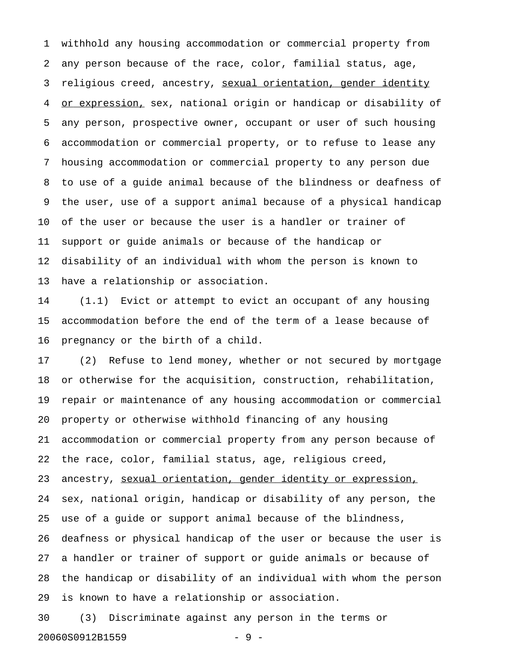1 withhold any housing accommodation or commercial property from 2 any person because of the race, color, familial status, age, 3 religious creed, ancestry, sexual orientation, gender identity 4 or expression, sex, national origin or handicap or disability of 5 any person, prospective owner, occupant or user of such housing 6 accommodation or commercial property, or to refuse to lease any 7 housing accommodation or commercial property to any person due 8 to use of a guide animal because of the blindness or deafness of 9 the user, use of a support animal because of a physical handicap 10 of the user or because the user is a handler or trainer of 11 support or guide animals or because of the handicap or 12 disability of an individual with whom the person is known to 13 have a relationship or association.

14 (1.1) Evict or attempt to evict an occupant of any housing 15 accommodation before the end of the term of a lease because of 16 pregnancy or the birth of a child.

17 (2) Refuse to lend money, whether or not secured by mortgage 18 or otherwise for the acquisition, construction, rehabilitation, 19 repair or maintenance of any housing accommodation or commercial 20 property or otherwise withhold financing of any housing 21 accommodation or commercial property from any person because of 22 the race, color, familial status, age, religious creed, 23 ancestry, sexual orientation, gender identity or expression, 24 sex, national origin, handicap or disability of any person, the 25 use of a guide or support animal because of the blindness, 26 deafness or physical handicap of the user or because the user is 27 a handler or trainer of support or guide animals or because of 28 the handicap or disability of an individual with whom the person 29 is known to have a relationship or association.

30 (3) Discriminate against any person in the terms or 20060S0912B1559 - 9 -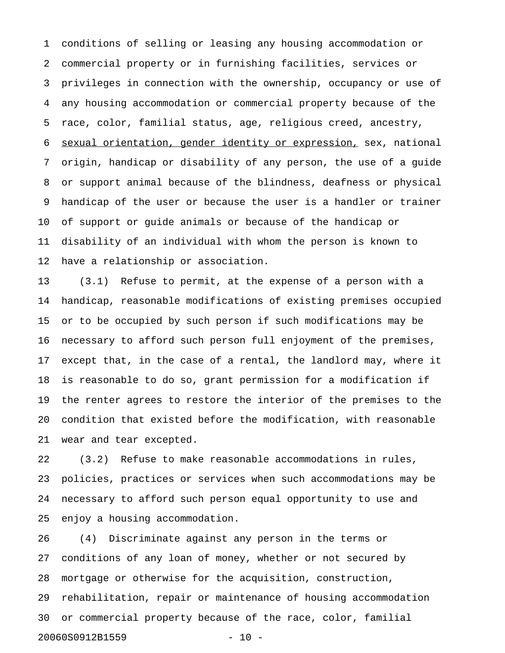1 conditions of selling or leasing any housing accommodation or 2 commercial property or in furnishing facilities, services or 3 privileges in connection with the ownership, occupancy or use of 4 any housing accommodation or commercial property because of the 5 race, color, familial status, age, religious creed, ancestry, 6 sexual orientation, gender identity or expression, sex, national 7 origin, handicap or disability of any person, the use of a guide 8 or support animal because of the blindness, deafness or physical 9 handicap of the user or because the user is a handler or trainer 10 of support or guide animals or because of the handicap or 11 disability of an individual with whom the person is known to 12 have a relationship or association.

13 (3.1) Refuse to permit, at the expense of a person with a 14 handicap, reasonable modifications of existing premises occupied 15 or to be occupied by such person if such modifications may be 16 necessary to afford such person full enjoyment of the premises, 17 except that, in the case of a rental, the landlord may, where it 18 is reasonable to do so, grant permission for a modification if 19 the renter agrees to restore the interior of the premises to the 20 condition that existed before the modification, with reasonable 21 wear and tear excepted.

22 (3.2) Refuse to make reasonable accommodations in rules, 23 policies, practices or services when such accommodations may be 24 necessary to afford such person equal opportunity to use and 25 enjoy a housing accommodation.

26 (4) Discriminate against any person in the terms or 27 conditions of any loan of money, whether or not secured by 28 mortgage or otherwise for the acquisition, construction, 29 rehabilitation, repair or maintenance of housing accommodation 30 or commercial property because of the race, color, familial 20060S0912B1559 - 10 -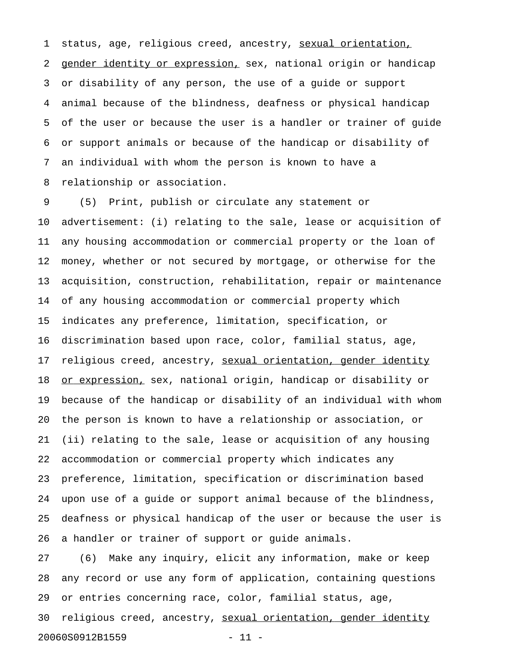1 status, age, religious creed, ancestry, sexual orientation, 2 gender identity or expression, sex, national origin or handicap 3 or disability of any person, the use of a guide or support 4 animal because of the blindness, deafness or physical handicap 5 of the user or because the user is a handler or trainer of guide 6 or support animals or because of the handicap or disability of 7 an individual with whom the person is known to have a 8 relationship or association.

9 (5) Print, publish or circulate any statement or 10 advertisement: (i) relating to the sale, lease or acquisition of 11 any housing accommodation or commercial property or the loan of 12 money, whether or not secured by mortgage, or otherwise for the 13 acquisition, construction, rehabilitation, repair or maintenance 14 of any housing accommodation or commercial property which 15 indicates any preference, limitation, specification, or 16 discrimination based upon race, color, familial status, age, 17 religious creed, ancestry, sexual orientation, gender identity 18 or expression, sex, national origin, handicap or disability or 19 because of the handicap or disability of an individual with whom 20 the person is known to have a relationship or association, or 21 (ii) relating to the sale, lease or acquisition of any housing 22 accommodation or commercial property which indicates any 23 preference, limitation, specification or discrimination based 24 upon use of a guide or support animal because of the blindness, 25 deafness or physical handicap of the user or because the user is 26 a handler or trainer of support or guide animals.

27 (6) Make any inquiry, elicit any information, make or keep 28 any record or use any form of application, containing questions 29 or entries concerning race, color, familial status, age, 30 religious creed, ancestry, sexual orientation, gender identity 20060S0912B1559 - 11 -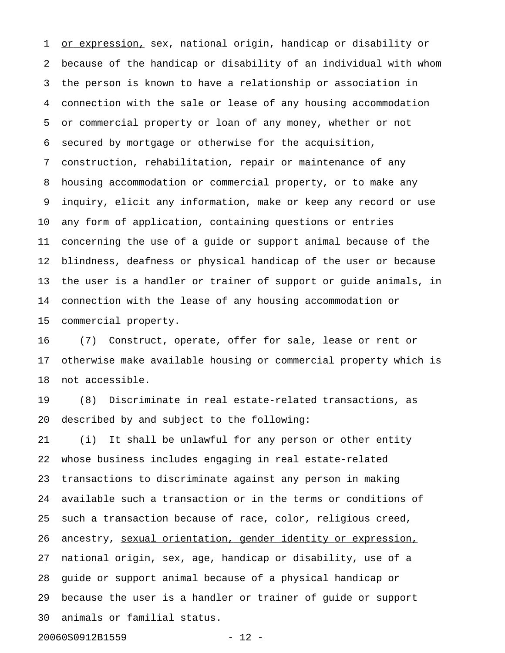1 or expression, sex, national origin, handicap or disability or 2 because of the handicap or disability of an individual with whom 3 the person is known to have a relationship or association in 4 connection with the sale or lease of any housing accommodation 5 or commercial property or loan of any money, whether or not 6 secured by mortgage or otherwise for the acquisition, 7 construction, rehabilitation, repair or maintenance of any 8 housing accommodation or commercial property, or to make any 9 inquiry, elicit any information, make or keep any record or use 10 any form of application, containing questions or entries 11 concerning the use of a guide or support animal because of the 12 blindness, deafness or physical handicap of the user or because 13 the user is a handler or trainer of support or guide animals, in 14 connection with the lease of any housing accommodation or 15 commercial property.

16 (7) Construct, operate, offer for sale, lease or rent or 17 otherwise make available housing or commercial property which is 18 not accessible.

19 (8) Discriminate in real estate-related transactions, as 20 described by and subject to the following:

21 (i) It shall be unlawful for any person or other entity 22 whose business includes engaging in real estate-related 23 transactions to discriminate against any person in making 24 available such a transaction or in the terms or conditions of 25 such a transaction because of race, color, religious creed, 26 ancestry, sexual orientation, gender identity or expression, 27 national origin, sex, age, handicap or disability, use of a 28 guide or support animal because of a physical handicap or 29 because the user is a handler or trainer of guide or support 30 animals or familial status.

20060S0912B1559 - 12 -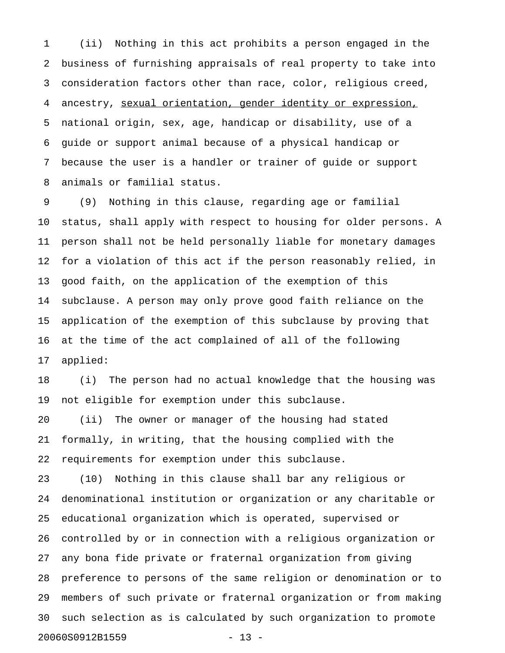1 (ii) Nothing in this act prohibits a person engaged in the 2 business of furnishing appraisals of real property to take into 3 consideration factors other than race, color, religious creed, 4 ancestry, sexual orientation, gender identity or expression, 5 national origin, sex, age, handicap or disability, use of a 6 guide or support animal because of a physical handicap or 7 because the user is a handler or trainer of guide or support 8 animals or familial status.

9 (9) Nothing in this clause, regarding age or familial 10 status, shall apply with respect to housing for older persons. A 11 person shall not be held personally liable for monetary damages 12 for a violation of this act if the person reasonably relied, in 13 good faith, on the application of the exemption of this 14 subclause. A person may only prove good faith reliance on the 15 application of the exemption of this subclause by proving that 16 at the time of the act complained of all of the following 17 applied:

18 (i) The person had no actual knowledge that the housing was 19 not eligible for exemption under this subclause.

20 (ii) The owner or manager of the housing had stated 21 formally, in writing, that the housing complied with the 22 requirements for exemption under this subclause.

23 (10) Nothing in this clause shall bar any religious or 24 denominational institution or organization or any charitable or 25 educational organization which is operated, supervised or 26 controlled by or in connection with a religious organization or 27 any bona fide private or fraternal organization from giving 28 preference to persons of the same religion or denomination or to 29 members of such private or fraternal organization or from making 30 such selection as is calculated by such organization to promote 20060S0912B1559 - 13 -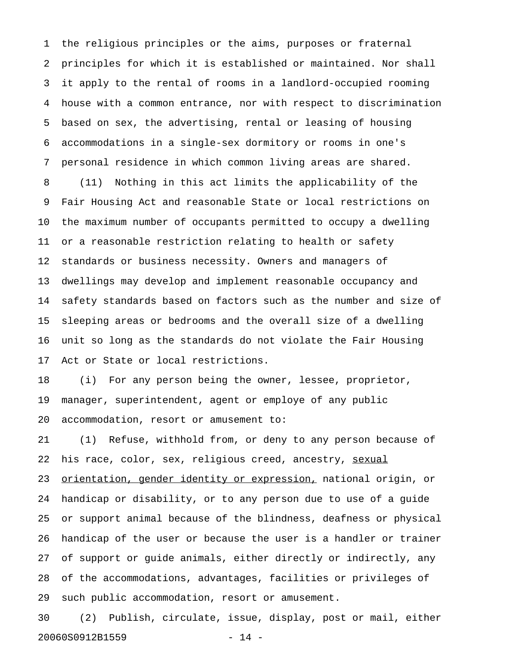1 the religious principles or the aims, purposes or fraternal 2 principles for which it is established or maintained. Nor shall 3 it apply to the rental of rooms in a landlord-occupied rooming 4 house with a common entrance, nor with respect to discrimination 5 based on sex, the advertising, rental or leasing of housing 6 accommodations in a single-sex dormitory or rooms in one's 7 personal residence in which common living areas are shared. 8 (11) Nothing in this act limits the applicability of the 9 Fair Housing Act and reasonable State or local restrictions on 10 the maximum number of occupants permitted to occupy a dwelling 11 or a reasonable restriction relating to health or safety 12 standards or business necessity. Owners and managers of 13 dwellings may develop and implement reasonable occupancy and 14 safety standards based on factors such as the number and size of 15 sleeping areas or bedrooms and the overall size of a dwelling 16 unit so long as the standards do not violate the Fair Housing 17 Act or State or local restrictions.

18 (i) For any person being the owner, lessee, proprietor, 19 manager, superintendent, agent or employe of any public 20 accommodation, resort or amusement to:

21 (1) Refuse, withhold from, or deny to any person because of 22 his race, color, sex, religious creed, ancestry, sexual 23 orientation, gender identity or expression, national origin, or 24 handicap or disability, or to any person due to use of a guide 25 or support animal because of the blindness, deafness or physical 26 handicap of the user or because the user is a handler or trainer 27 of support or guide animals, either directly or indirectly, any 28 of the accommodations, advantages, facilities or privileges of 29 such public accommodation, resort or amusement.

30 (2) Publish, circulate, issue, display, post or mail, either 20060S0912B1559 - 14 -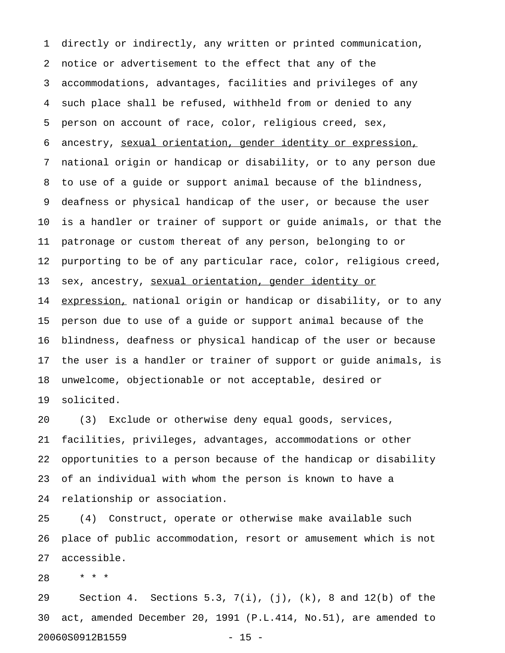1 directly or indirectly, any written or printed communication, 2 notice or advertisement to the effect that any of the 3 accommodations, advantages, facilities and privileges of any 4 such place shall be refused, withheld from or denied to any 5 person on account of race, color, religious creed, sex, 6 ancestry, sexual orientation, gender identity or expression, 7 national origin or handicap or disability, or to any person due 8 to use of a guide or support animal because of the blindness, 9 deafness or physical handicap of the user, or because the user 10 is a handler or trainer of support or guide animals, or that the 11 patronage or custom thereat of any person, belonging to or 12 purporting to be of any particular race, color, religious creed, 13 sex, ancestry, sexual orientation, gender identity or 14 expression, national origin or handicap or disability, or to any 15 person due to use of a guide or support animal because of the 16 blindness, deafness or physical handicap of the user or because 17 the user is a handler or trainer of support or guide animals, is 18 unwelcome, objectionable or not acceptable, desired or 19 solicited.

20 (3) Exclude or otherwise deny equal goods, services, 21 facilities, privileges, advantages, accommodations or other 22 opportunities to a person because of the handicap or disability 23 of an individual with whom the person is known to have a 24 relationship or association.

25 (4) Construct, operate or otherwise make available such 26 place of public accommodation, resort or amusement which is not 27 accessible.

28 \* \* \*

29 Section 4. Sections 5.3, 7(i), (j), (k), 8 and 12(b) of the 30 act, amended December 20, 1991 (P.L.414, No.51), are amended to 20060S0912B1559 - 15 -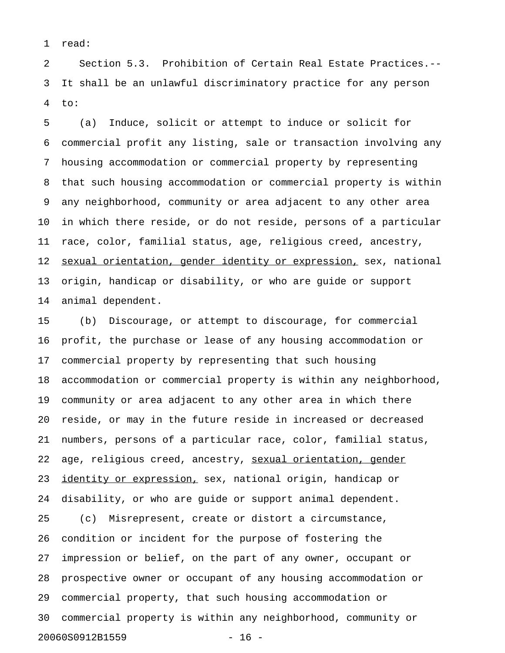1 read:

2 Section 5.3. Prohibition of Certain Real Estate Practices.-- 3 It shall be an unlawful discriminatory practice for any person 4 to:

5 (a) Induce, solicit or attempt to induce or solicit for 6 commercial profit any listing, sale or transaction involving any 7 housing accommodation or commercial property by representing 8 that such housing accommodation or commercial property is within 9 any neighborhood, community or area adjacent to any other area 10 in which there reside, or do not reside, persons of a particular 11 race, color, familial status, age, religious creed, ancestry, 12 sexual orientation, gender identity or expression, sex, national 13 origin, handicap or disability, or who are guide or support 14 animal dependent.

15 (b) Discourage, or attempt to discourage, for commercial 16 profit, the purchase or lease of any housing accommodation or 17 commercial property by representing that such housing 18 accommodation or commercial property is within any neighborhood, 19 community or area adjacent to any other area in which there 20 reside, or may in the future reside in increased or decreased 21 numbers, persons of a particular race, color, familial status, 22 age, religious creed, ancestry, sexual orientation, gender 23 identity or expression, sex, national origin, handicap or 24 disability, or who are guide or support animal dependent. 25 (c) Misrepresent, create or distort a circumstance,

26 condition or incident for the purpose of fostering the 27 impression or belief, on the part of any owner, occupant or 28 prospective owner or occupant of any housing accommodation or 29 commercial property, that such housing accommodation or 30 commercial property is within any neighborhood, community or 20060S0912B1559 - 16 -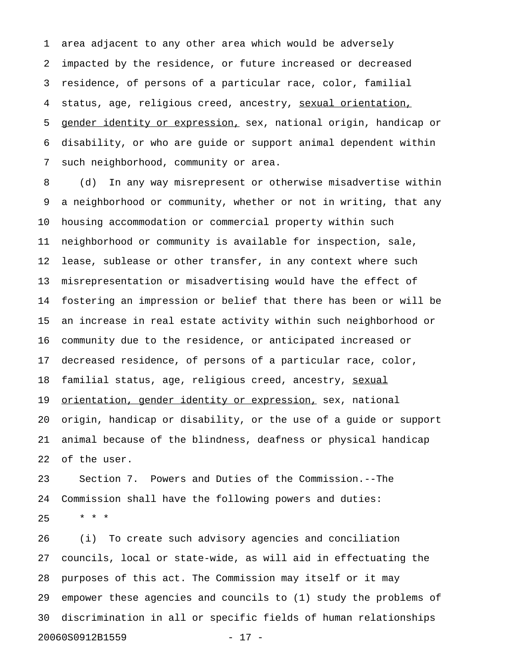1 area adjacent to any other area which would be adversely 2 impacted by the residence, or future increased or decreased 3 residence, of persons of a particular race, color, familial 4 status, age, religious creed, ancestry, sexual orientation, 5 gender identity or expression, sex, national origin, handicap or 6 disability, or who are guide or support animal dependent within 7 such neighborhood, community or area.

8 (d) In any way misrepresent or otherwise misadvertise within 9 a neighborhood or community, whether or not in writing, that any 10 housing accommodation or commercial property within such 11 neighborhood or community is available for inspection, sale, 12 lease, sublease or other transfer, in any context where such 13 misrepresentation or misadvertising would have the effect of 14 fostering an impression or belief that there has been or will be 15 an increase in real estate activity within such neighborhood or 16 community due to the residence, or anticipated increased or 17 decreased residence, of persons of a particular race, color, 18 familial status, age, religious creed, ancestry, sexual 19 orientation, gender identity or expression, sex, national 20 origin, handicap or disability, or the use of a guide or support 21 animal because of the blindness, deafness or physical handicap 22 of the user.

23 Section 7. Powers and Duties of the Commission.--The 24 Commission shall have the following powers and duties:  $25 \times * * *$ 

26 (i) To create such advisory agencies and conciliation 27 councils, local or state-wide, as will aid in effectuating the 28 purposes of this act. The Commission may itself or it may 29 empower these agencies and councils to (1) study the problems of 30 discrimination in all or specific fields of human relationships 20060S0912B1559 - 17 -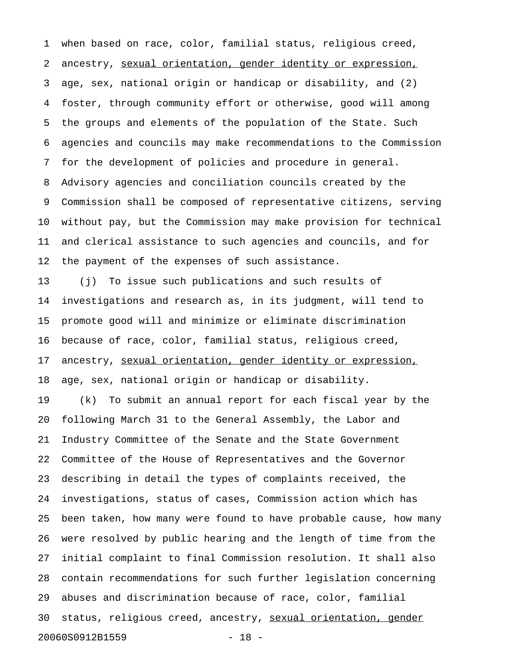1 when based on race, color, familial status, religious creed, 2 ancestry, sexual orientation, gender identity or expression, 3 age, sex, national origin or handicap or disability, and (2) 4 foster, through community effort or otherwise, good will among 5 the groups and elements of the population of the State. Such 6 agencies and councils may make recommendations to the Commission 7 for the development of policies and procedure in general. 8 Advisory agencies and conciliation councils created by the 9 Commission shall be composed of representative citizens, serving 10 without pay, but the Commission may make provision for technical 11 and clerical assistance to such agencies and councils, and for 12 the payment of the expenses of such assistance.

13 (j) To issue such publications and such results of 14 investigations and research as, in its judgment, will tend to 15 promote good will and minimize or eliminate discrimination 16 because of race, color, familial status, religious creed, 17 ancestry, sexual orientation, gender identity or expression, 18 age, sex, national origin or handicap or disability.

19 (k) To submit an annual report for each fiscal year by the 20 following March 31 to the General Assembly, the Labor and 21 Industry Committee of the Senate and the State Government 22 Committee of the House of Representatives and the Governor 23 describing in detail the types of complaints received, the 24 investigations, status of cases, Commission action which has 25 been taken, how many were found to have probable cause, how many 26 were resolved by public hearing and the length of time from the 27 initial complaint to final Commission resolution. It shall also 28 contain recommendations for such further legislation concerning 29 abuses and discrimination because of race, color, familial 30 status, religious creed, ancestry, sexual orientation, gender 20060S0912B1559 - 18 -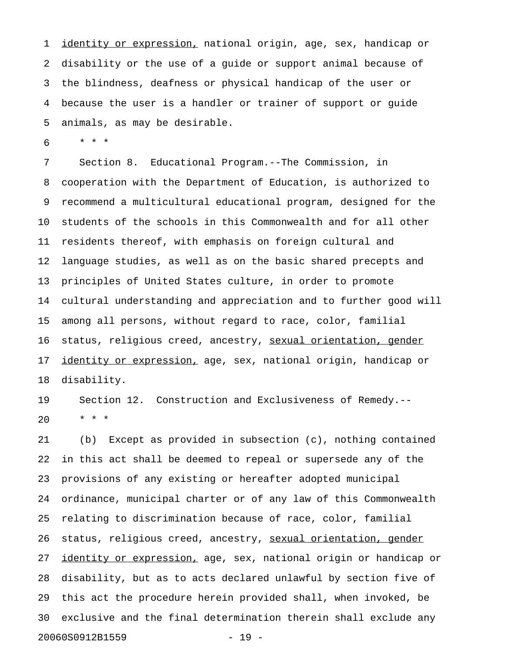1 identity or expression, national origin, age, sex, handicap or 2 disability or the use of a guide or support animal because of 3 the blindness, deafness or physical handicap of the user or 4 because the user is a handler or trainer of support or guide 5 animals, as may be desirable.

6 \* \* \*

7 Section 8. Educational Program.--The Commission, in 8 cooperation with the Department of Education, is authorized to 9 recommend a multicultural educational program, designed for the 10 students of the schools in this Commonwealth and for all other 11 residents thereof, with emphasis on foreign cultural and 12 language studies, as well as on the basic shared precepts and 13 principles of United States culture, in order to promote 14 cultural understanding and appreciation and to further good will 15 among all persons, without regard to race, color, familial 16 status, religious creed, ancestry, sexual orientation, gender 17 identity or expression, age, sex, national origin, handicap or 18 disability.

19 Section 12. Construction and Exclusiveness of Remedy.-- 20 \* \* \*

21 (b) Except as provided in subsection (c), nothing contained 22 in this act shall be deemed to repeal or supersede any of the 23 provisions of any existing or hereafter adopted municipal 24 ordinance, municipal charter or of any law of this Commonwealth 25 relating to discrimination because of race, color, familial 26 status, religious creed, ancestry, sexual orientation, gender 27 identity or expression, age, sex, national origin or handicap or 28 disability, but as to acts declared unlawful by section five of 29 this act the procedure herein provided shall, when invoked, be 30 exclusive and the final determination therein shall exclude any 20060S0912B1559 - 19 -